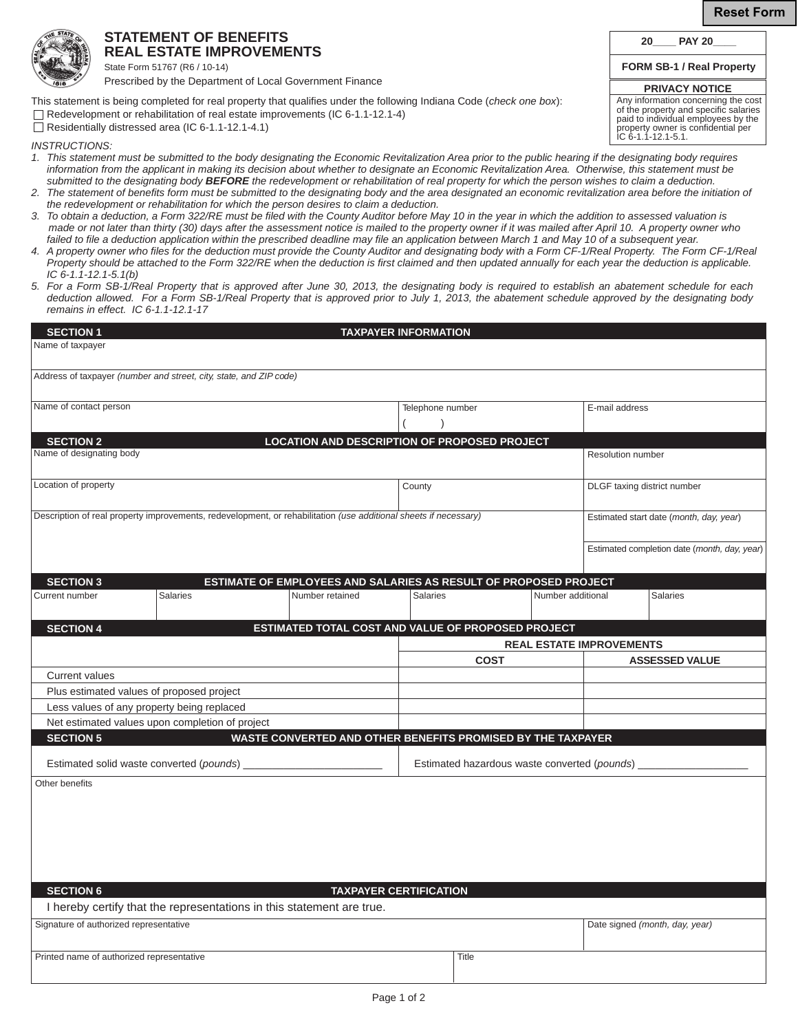**Reset Form**

## **STATEMENT OF BENEFITS REAL ESTATE IMPROVEMENTS**

State Form 51767 (R6 / 10-14) Prescribed by the Department of Local Government Finance

This statement is being completed for real property that qualifies under the following Indiana Code (*check one box*):

 $\Box$  Residentially distressed area (IC 6-1.1-12.1-4.1)

*INSTRUCTIONS:* 

- *1. This statement must be submitted to the body designating the Economic Revitalization Area prior to the public hearing if the designating body requires information from the applicant in making its decision about whether to designate an Economic Revitalization Area. Otherwise, this statement must be submitted to the designating body BEFORE the redevelopment or rehabilitation of real property for which the person wishes to claim a deduction.*
- *2. The statement of benefits form must be submitted to the designating body and the area designated an economic revitalization area before the initiation of the redevelopment or rehabilitation for which the person desires to claim a deduction.*
- *3. To obtain a deduction, a Form 322/RE must be filed with the County Auditor before May 10 in the year in which the addition to assessed valuation is made or not later than thirty (30) days after the assessment notice is mailed to the property owner if it was mailed after April 10. A property owner who failed to file a deduction application within the prescribed deadline may file an application between March 1 and May 10 of a subsequent year.*
- *4. A property owner who files for the deduction must provide the County Auditor and designating body with a Form CF-1/Real Property. The Form CF-1/Real Property should be attached to the Form 322/RE when the deduction is first claimed and then updated annually for each year the deduction is applicable. IC 6-1.1-12.1-5.1(b)*
- *5. For a Form SB-1/Real Property that is approved after June 30, 2013, the designating body is required to establish an abatement schedule for each deduction allowed. For a Form SB-1/Real Property that is approved prior to July 1, 2013, the abatement schedule approved by the designating body remains in effect. IC 6-1.1-12.1-17*

| <b>SECTION 1</b>                                                                                                 |                                                 |                                                                       | <b>TAXPAYER INFORMATION</b>   |                                              |                   |                                 |                                              |
|------------------------------------------------------------------------------------------------------------------|-------------------------------------------------|-----------------------------------------------------------------------|-------------------------------|----------------------------------------------|-------------------|---------------------------------|----------------------------------------------|
| Name of taxpayer                                                                                                 |                                                 |                                                                       |                               |                                              |                   |                                 |                                              |
| Address of taxpayer (number and street, city, state, and ZIP code)                                               |                                                 |                                                                       |                               |                                              |                   |                                 |                                              |
| Name of contact person                                                                                           |                                                 |                                                                       | Telephone number              |                                              |                   | E-mail address                  |                                              |
|                                                                                                                  |                                                 |                                                                       |                               |                                              |                   |                                 |                                              |
| <b>SECTION 2</b>                                                                                                 |                                                 | <b>LOCATION AND DESCRIPTION OF PROPOSED PROJECT</b>                   |                               |                                              |                   |                                 |                                              |
| Name of designating body                                                                                         |                                                 |                                                                       |                               |                                              |                   | Resolution number               |                                              |
| Location of property                                                                                             |                                                 |                                                                       | County                        |                                              |                   |                                 | DLGF taxing district number                  |
| Description of real property improvements, redevelopment, or rehabilitation (use additional sheets if necessary) |                                                 |                                                                       |                               |                                              |                   |                                 | Estimated start date (month, day, year)      |
|                                                                                                                  |                                                 |                                                                       |                               |                                              |                   |                                 | Estimated completion date (month, day, year) |
| <b>SECTION 3</b>                                                                                                 |                                                 | ESTIMATE OF EMPLOYEES AND SALARIES AS RESULT OF PROPOSED PROJECT      |                               |                                              |                   |                                 |                                              |
| Current number                                                                                                   | <b>Salaries</b>                                 | Number retained                                                       | <b>Salaries</b>               |                                              | Number additional |                                 | <b>Salaries</b>                              |
|                                                                                                                  |                                                 |                                                                       |                               |                                              |                   |                                 |                                              |
| <b>SECTION 4</b>                                                                                                 |                                                 | ESTIMATED TOTAL COST AND VALUE OF PROPOSED PROJECT                    |                               |                                              |                   |                                 |                                              |
|                                                                                                                  |                                                 |                                                                       |                               |                                              |                   | <b>REAL ESTATE IMPROVEMENTS</b> |                                              |
|                                                                                                                  |                                                 |                                                                       |                               | <b>COST</b>                                  |                   |                                 | <b>ASSESSED VALUE</b>                        |
| Current values                                                                                                   |                                                 |                                                                       |                               |                                              |                   |                                 |                                              |
|                                                                                                                  | Plus estimated values of proposed project       |                                                                       |                               |                                              |                   |                                 |                                              |
|                                                                                                                  | Less values of any property being replaced      |                                                                       |                               |                                              |                   |                                 |                                              |
|                                                                                                                  | Net estimated values upon completion of project |                                                                       |                               |                                              |                   |                                 |                                              |
| <b>SECTION 5</b>                                                                                                 |                                                 | WASTE CONVERTED AND OTHER BENEFITS PROMISED BY THE TAXPAYER           |                               |                                              |                   |                                 |                                              |
|                                                                                                                  | Estimated solid waste converted (pounds)        |                                                                       |                               | Estimated hazardous waste converted (pounds) |                   |                                 |                                              |
| Other benefits                                                                                                   |                                                 |                                                                       |                               |                                              |                   |                                 |                                              |
|                                                                                                                  |                                                 |                                                                       |                               |                                              |                   |                                 |                                              |
|                                                                                                                  |                                                 |                                                                       |                               |                                              |                   |                                 |                                              |
|                                                                                                                  |                                                 |                                                                       |                               |                                              |                   |                                 |                                              |
|                                                                                                                  |                                                 |                                                                       |                               |                                              |                   |                                 |                                              |
|                                                                                                                  |                                                 |                                                                       |                               |                                              |                   |                                 |                                              |
|                                                                                                                  |                                                 |                                                                       |                               |                                              |                   |                                 |                                              |
| <b>SECTION 6</b>                                                                                                 |                                                 |                                                                       | <b>TAXPAYER CERTIFICATION</b> |                                              |                   |                                 |                                              |
|                                                                                                                  |                                                 | I hereby certify that the representations in this statement are true. |                               |                                              |                   |                                 |                                              |
| Signature of authorized representative                                                                           |                                                 |                                                                       |                               |                                              |                   |                                 | Date signed (month, day, year)               |
| Printed name of authorized representative                                                                        |                                                 |                                                                       |                               | Title                                        |                   |                                 |                                              |
|                                                                                                                  |                                                 |                                                                       |                               |                                              |                   |                                 |                                              |

**20\_\_\_\_ PAY 20\_\_\_\_**

| <b>PRIVACY NOTICE</b>                 |
|---------------------------------------|
| Any information concerning the cost   |
| of the property and specific salaries |

paid to individual employees by the property owner is confidential per

IC 6-1.1-12.1-5.1.